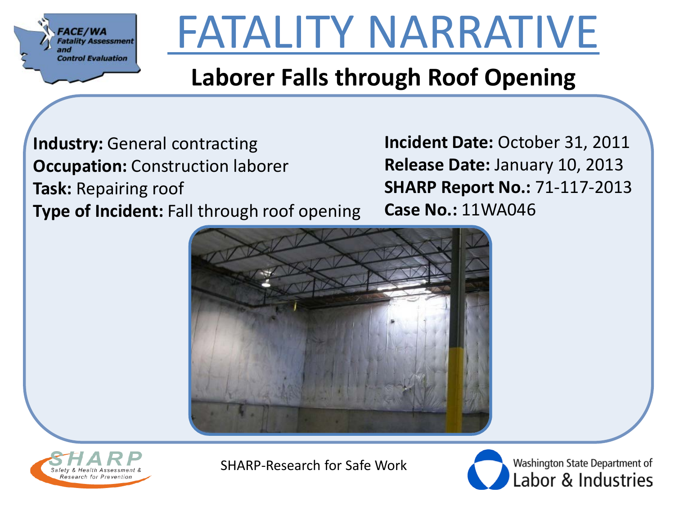

## FATALITY NARRATIVE

#### **Laborer Falls through Roof Opening**

**Industry:** General contracting **Occupation:** Construction laborer **Task:** Repairing roof **Type of Incident:** Fall through roof opening **Incident Date:** October 31, 2011 **Release Date:** January 10, 2013 **SHARP Report No.:** 71-117-2013 **Case No.:** 11WA046





SHARP-Research for Safe Work

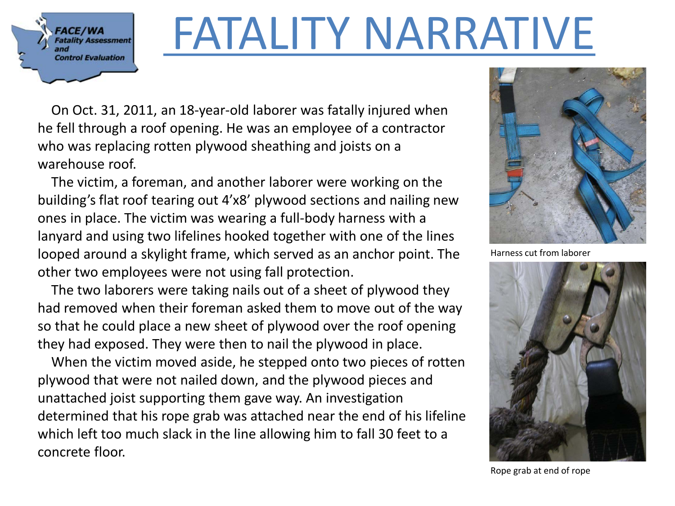**FACE/WA Fatality Assessment Control Evaluation** 

#### FATALITY NARRATIVE

 On Oct. 31, 2011, an 18-year-old laborer was fatally injured when he fell through a roof opening. He was an employee of a contractor who was replacing rotten plywood sheathing and joists on a warehouse roof.

 The victim, a foreman, and another laborer were working on the building's flat roof tearing out 4'x8' plywood sections and nailing new ones in place. The victim was wearing a full-body harness with a lanyard and using two lifelines hooked together with one of the lines looped around a skylight frame, which served as an anchor point. The other two employees were not using fall protection.

 The two laborers were taking nails out of a sheet of plywood they had removed when their foreman asked them to move out of the way so that he could place a new sheet of plywood over the roof opening they had exposed. They were then to nail the plywood in place.

 When the victim moved aside, he stepped onto two pieces of rotten plywood that were not nailed down, and the plywood pieces and unattached joist supporting them gave way. An investigation determined that his rope grab was attached near the end of his lifeline which left too much slack in the line allowing him to fall 30 feet to a concrete floor.



Harness cut from laborer



Rope grab at end of rope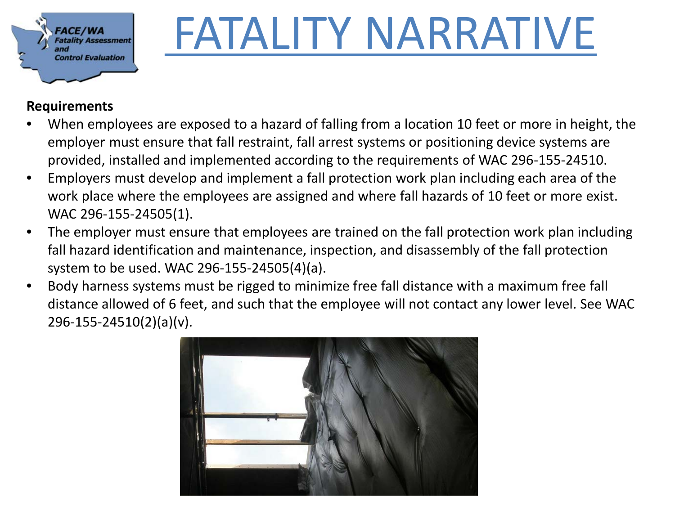

## FATALITY NARRATIVE

#### **Requirements**

- When employees are exposed to a hazard of falling from a location 10 feet or more in height, the employer must ensure that fall restraint, fall arrest systems or positioning device systems are provided, installed and implemented according to the requirements of WAC 296-155-24510.
- Employers must develop and implement a fall protection work plan including each area of the work place where the employees are assigned and where fall hazards of 10 feet or more exist. WAC 296-155-24505(1).
- The employer must ensure that employees are trained on the fall protection work plan including fall hazard identification and maintenance, inspection, and disassembly of the fall protection system to be used. WAC 296-155-24505(4)(a).
- Body harness systems must be rigged to minimize free fall distance with a maximum free fall distance allowed of 6 feet, and such that the employee will not contact any lower level. See WAC 296-155-24510(2)(a)(v).